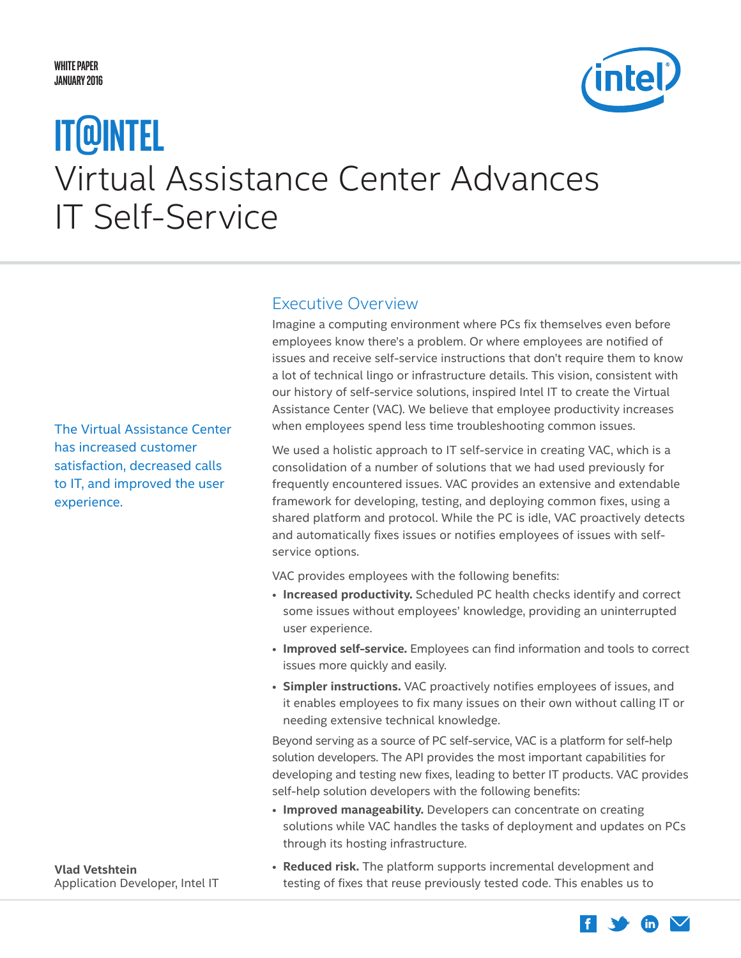#### <span id="page-0-0"></span>**White Paper JANUARY 2016**



# Virtual Assistance Center Advances IT Self-Service **IT@Intel**

Executive Overview

Imagine a computing environment where PCs fix themselves even before employees know there's a problem. Or where employees are notified of issues and receive self-service instructions that don't require them to know a lot of technical lingo or infrastructure details. This vision, consistent with our history of self-service solutions, inspired Intel IT to create the Virtual Assistance Center (VAC). We believe that employee productivity increases when employees spend less time troubleshooting common issues.

We used a holistic approach to IT self-service in creating VAC, which is a consolidation of a number of solutions that we had used previously for frequently encountered issues. VAC provides an extensive and extendable framework for developing, testing, and deploying common fixes, using a shared platform and protocol. While the PC is idle, VAC proactively detects and automatically fixes issues or notifies employees of issues with selfservice options.

VAC provides employees with the following benefits:

- **Increased productivity.** Scheduled PC health checks identify and correct some issues without employees' knowledge, providing an uninterrupted user experience.
- **Improved self-service.** Employees can find information and tools to correct issues more quickly and easily.
- **Simpler instructions.** VAC proactively notifies employees of issues, and it enables employees to fix many issues on their own without calling IT or needing extensive technical knowledge.

Beyond serving as a source of PC self-service, VAC is a platform for self-help solution developers. The API provides the most important capabilities for developing and testing new fixes, leading to better IT products. VAC provides self-help solution developers with the following benefits:

• **Improved manageability.** Developers can concentrate on creating solutions while VAC handles the tasks of deployment and updates on PCs through its hosting infrastructure.

**Vlad Vetshtein** Application Developer, Intel IT • **Reduced risk.** The platform supports incremental development and testing of fixes that reuse previously tested code. This enables us to

The Virtual Assistance Center has increased customer satisfaction, decreased calls to IT, and improved the user experience.

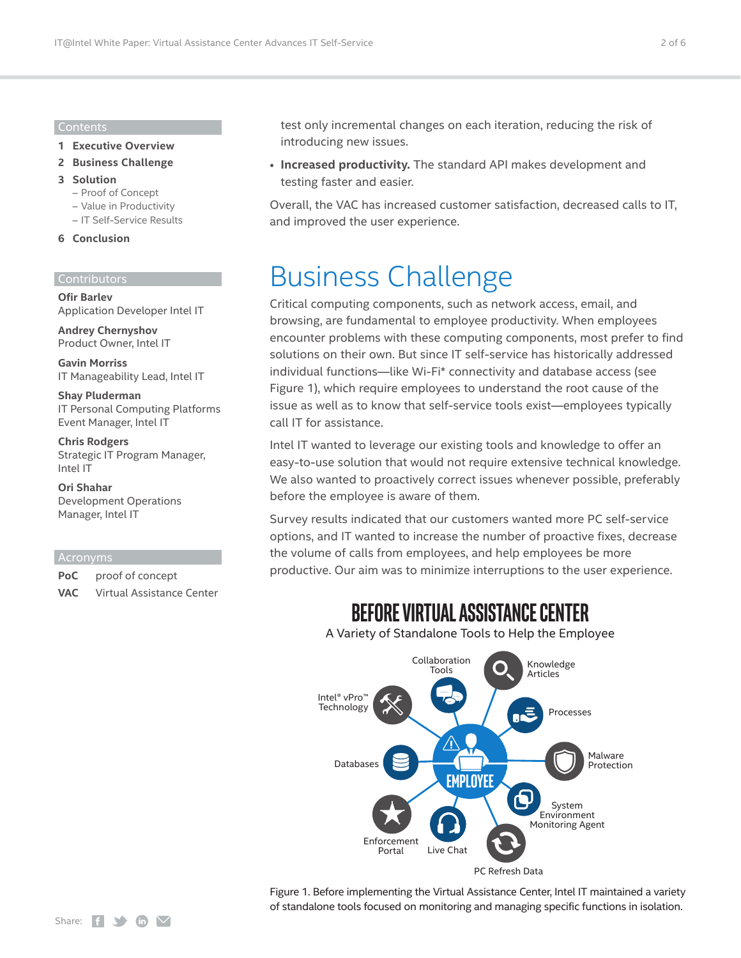#### Contents

- **1 [Executive Overview](#page-0-0)**
- **2 Business Challenge**
- **3 [Solution](#page-2-0)**
	- [Proof of Concept](#page-3-0)
	- [Value in Productivity](#page-4-0)
	- [IT Self-Service Results](#page-4-0)

#### **6 [Conclusion](#page-5-0)**

#### Contributors

**Ofir Barlev** Application Developer Intel IT

**Andrey Chernyshov**  Product Owner, Intel IT

**Gavin Morriss** IT Manageability Lead, Intel IT

**Shay Pluderman** IT Personal Computing Platforms Event Manager, Intel IT

**Chris Rodgers** Strategic IT Program Manager, Intel IT

**Ori Shahar** Development Operations Manager, Intel IT

#### Acronyms

**PoC** proof of concept **VAC** Virtual Assistance Center test only incremental changes on each iteration, reducing the risk of introducing new issues.

• **Increased productivity.** The standard API makes development and testing faster and easier.

Overall, the VAC has increased customer satisfaction, decreased calls to IT, and improved the user experience.

### Business Challenge

Critical computing components, such as network access, email, and browsing, are fundamental to employee productivity. When employees encounter problems with these computing components, most prefer to find solutions on their own. But since IT self-service has historically addressed individual functions—like Wi-Fi\* connectivity and database access (see Figure 1), which require employees to understand the root cause of the issue as well as to know that self-service tools exist—employees typically call IT for assistance.

Intel IT wanted to leverage our existing tools and knowledge to offer an easy-to-use solution that would not require extensive technical knowledge. We also wanted to proactively correct issues whenever possible, preferably before the employee is aware of them.

Survey results indicated that our customers wanted more PC self-service options, and IT wanted to increase the number of proactive fixes, decrease the volume of calls from employees, and help employees be more productive. Our aim was to minimize interruptions to the user experience.

### **BeFOre VirtUal aSSiStaNCe CeNter**

A Variety of Standalone Tools to Help the Employee



Figure 1. Before implementing the Virtual Assistance Center, Intel IT maintained a variety of standalone tools focused on monitoring and managing specific functions in isolation.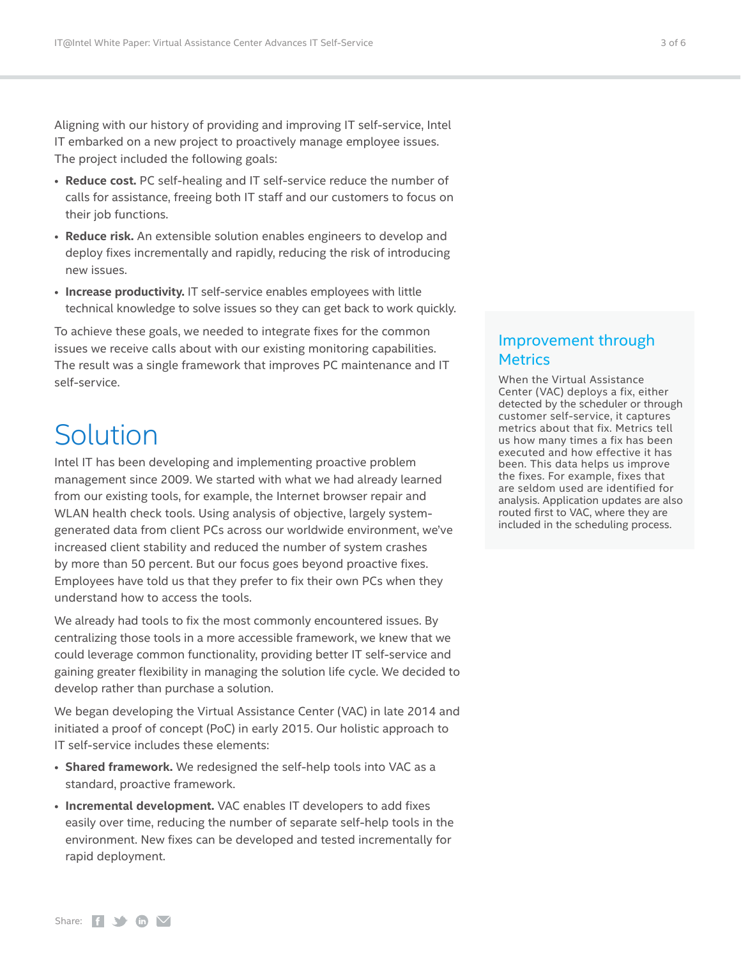<span id="page-2-0"></span>Aligning with our history of providing and improving IT self-service, Intel IT embarked on a new project to proactively manage employee issues. The project included the following goals:

- **Reduce cost.** PC self-healing and IT self-service reduce the number of calls for assistance, freeing both IT staff and our customers to focus on their job functions.
- **Reduce risk.** An extensible solution enables engineers to develop and deploy fixes incrementally and rapidly, reducing the risk of introducing new issues.
- **Increase productivity.** IT self-service enables employees with little technical knowledge to solve issues so they can get back to work quickly.

To achieve these goals, we needed to integrate fixes for the common issues we receive calls about with our existing monitoring capabilities. The result was a single framework that improves PC maintenance and IT self-service.

## Solution

Intel IT has been developing and implementing proactive problem management since 2009. We started with what we had already learned from our existing tools, for example, the Internet browser repair and WLAN health check tools. Using analysis of objective, largely systemgenerated data from client PCs across our worldwide environment, we've increased client stability and reduced the number of system crashes by more than 50 percent. But our focus goes beyond proactive fixes. Employees have told us that they prefer to fix their own PCs when they understand how to access the tools.

We already had tools to fix the most commonly encountered issues. By centralizing those tools in a more accessible framework, we knew that we could leverage common functionality, providing better IT self-service and gaining greater flexibility in managing the solution life cycle. We decided to develop rather than purchase a solution.

We began developing the Virtual Assistance Center (VAC) in late 2014 and initiated a proof of concept (PoC) in early 2015. Our holistic approach to IT self-service includes these elements:

- **Shared framework.** We redesigned the self-help tools into VAC as a standard, proactive framework.
- **Incremental development.** VAC enables IT developers to add fixes easily over time, reducing the number of separate self-help tools in the environment. New fixes can be developed and tested incrementally for rapid deployment.

#### Improvement through **Metrics**

When the Virtual Assistance Center (VAC) deploys a fix, either detected by the scheduler or through customer self-service, it captures metrics about that fix. Metrics tell us how many times a fix has been executed and how effective it has been. This data helps us improve the fixes. For example, fixes that are seldom used are identified for analysis. Application updates are also routed first to VAC, where they are included in the scheduling process.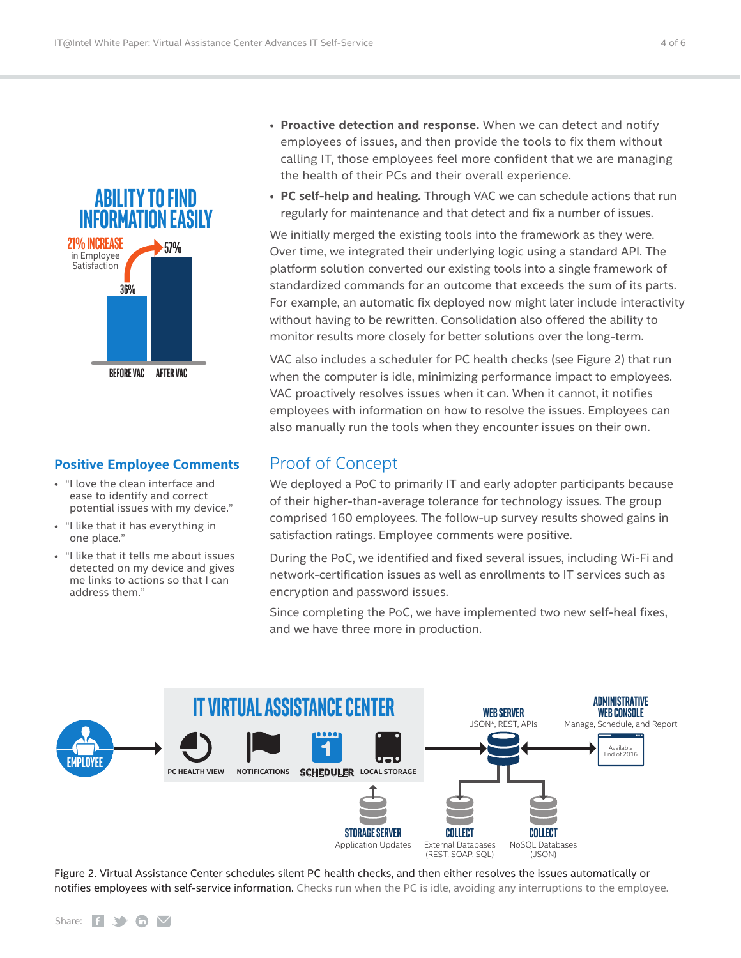<span id="page-3-0"></span>

#### **Positive Employee Comments**

- "I love the clean interface and ease to identify and correct potential issues with my device."
- "I like that it has everything in one place."
- "I like that it tells me about issues detected on my device and gives me links to actions so that I can address them."
- **Proactive detection and response.** When we can detect and notify employees of issues, and then provide the tools to fix them without calling IT, those employees feel more confident that we are managing the health of their PCs and their overall experience.
- **PC self-help and healing.** Through VAC we can schedule actions that run regularly for maintenance and that detect and fix a number of issues.

We initially merged the existing tools into the framework as they were. Over time, we integrated their underlying logic using a standard API. The platform solution converted our existing tools into a single framework of standardized commands for an outcome that exceeds the sum of its parts. For example, an automatic fix deployed now might later include interactivity without having to be rewritten. Consolidation also offered the ability to monitor results more closely for better solutions over the long-term.

VAC also includes a scheduler for PC health checks (see Figure 2) that run when the computer is idle, minimizing performance impact to employees. VAC proactively resolves issues when it can. When it cannot, it notifies employees with information on how to resolve the issues. Employees can also manually run the tools when they encounter issues on their own.

#### Proof of Concept

We deployed a PoC to primarily IT and early adopter participants because of their higher-than-average tolerance for technology issues. The group comprised 160 employees. The follow-up survey results showed gains in satisfaction ratings. Employee comments were positive.

During the PoC, we identified and fixed several issues, including Wi-Fi and network-certification issues as well as enrollments to IT services such as encryption and password issues.

Since completing the PoC, we have implemented two new self-heal fixes, and we have three more in production.



Figure 2. Virtual Assistance Center schedules silent PC health checks, and then either resolves the issues automatically or notifies employees with self-service information. Checks run when the PC is idle, avoiding any interruptions to the employee.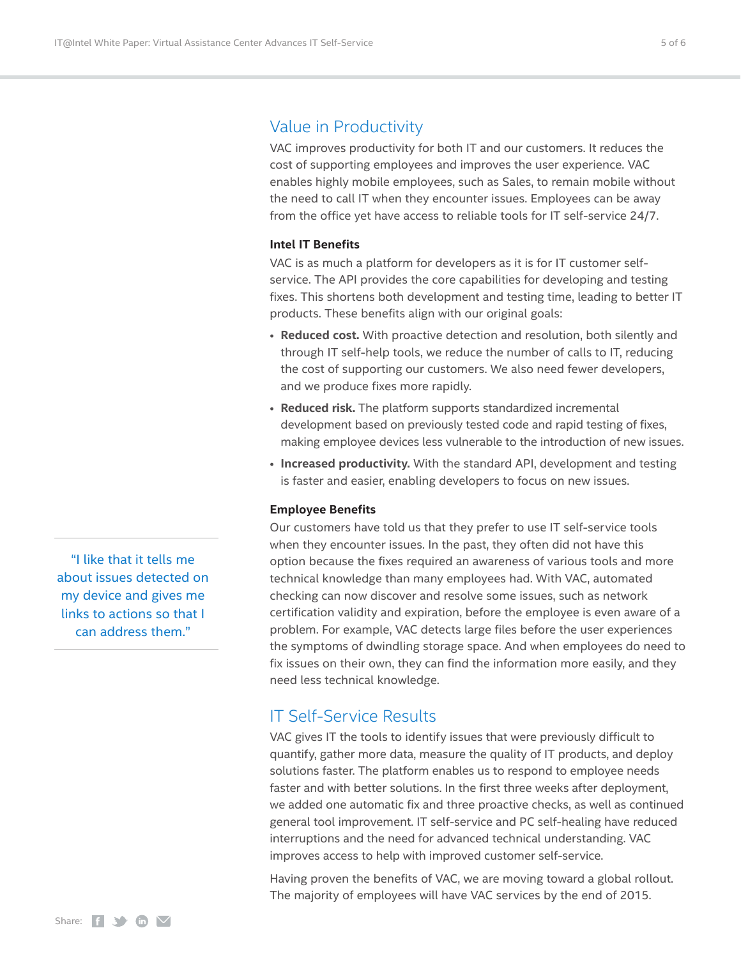#### <span id="page-4-0"></span>Value in Productivity

VAC improves productivity for both IT and our customers. It reduces the cost of supporting employees and improves the user experience. VAC enables highly mobile employees, such as Sales, to remain mobile without the need to call IT when they encounter issues. Employees can be away from the office yet have access to reliable tools for IT self-service 24/7.

#### **Intel IT Benefits**

VAC is as much a platform for developers as it is for IT customer selfservice. The API provides the core capabilities for developing and testing fixes. This shortens both development and testing time, leading to better IT products. These benefits align with our original goals:

- **Reduced cost.** With proactive detection and resolution, both silently and through IT self-help tools, we reduce the number of calls to IT, reducing the cost of supporting our customers. We also need fewer developers, and we produce fixes more rapidly.
- **Reduced risk.** The platform supports standardized incremental development based on previously tested code and rapid testing of fixes, making employee devices less vulnerable to the introduction of new issues.
- **Increased productivity.** With the standard API, development and testing is faster and easier, enabling developers to focus on new issues.

#### **Employee Benefits**

Our customers have told us that they prefer to use IT self-service tools when they encounter issues. In the past, they often did not have this option because the fixes required an awareness of various tools and more technical knowledge than many employees had. With VAC, automated checking can now discover and resolve some issues, such as network certification validity and expiration, before the employee is even aware of a problem. For example, VAC detects large files before the user experiences the symptoms of dwindling storage space. And when employees do need to fix issues on their own, they can find the information more easily, and they need less technical knowledge.

#### IT Self-Service Results

VAC gives IT the tools to identify issues that were previously difficult to quantify, gather more data, measure the quality of IT products, and deploy solutions faster. The platform enables us to respond to employee needs faster and with better solutions. In the first three weeks after deployment, we added one automatic fix and three proactive checks, as well as continued general tool improvement. IT self-service and PC self-healing have reduced interruptions and the need for advanced technical understanding. VAC improves access to help with improved customer self-service.

Having proven the benefits of VAC, we are moving toward a global rollout. The majority of employees will have VAC services by the end of 2015.

"I like that it tells me about issues detected on my device and gives me links to actions so that I can address them."